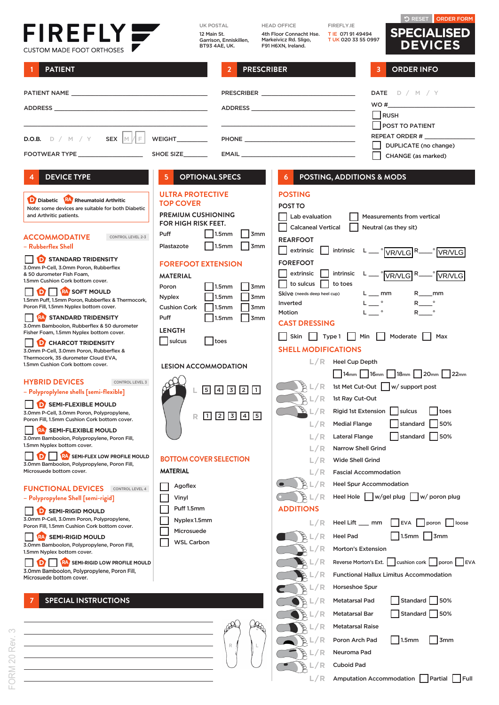## FIREFLY

UK POSTAL 12 Main St. Garrison, Enniskillen, BT93 4AE, UK. HEAD OFFICE 4th Floor Connacht Hse. Markeivicz Rd. Sligo, F91 H6XN, Ireland.

FIREFLY.IE T IE 071 91 49494 T UK 020 33 55 0997

**L/R** Cuboid Pad

 $\circ$ 

 $L/R$  Amputation Accommodation **Partial Pull** 

RESET ORDER FORM **SPECIALISED**

| CUSTOM MADE FOOT ORTHOSES                                                                                                            | Garrison, Ennisklijen,<br>BT93 4AE, UK.                                                                                                                   | Markeivicz Rd. Sligo,<br><b>I OK 020 33 55 0997</b><br>F91 H6XN, Ireland.                                               | <b>DEVICES</b>                                                                 |  |
|--------------------------------------------------------------------------------------------------------------------------------------|-----------------------------------------------------------------------------------------------------------------------------------------------------------|-------------------------------------------------------------------------------------------------------------------------|--------------------------------------------------------------------------------|--|
| <b>PATIENT</b>                                                                                                                       | <b>PRESCRIBER</b>                                                                                                                                         |                                                                                                                         | <b>ORDER INFO</b><br>3                                                         |  |
|                                                                                                                                      |                                                                                                                                                           |                                                                                                                         | DATE $D / M / Y$                                                               |  |
|                                                                                                                                      |                                                                                                                                                           | ADDRESS AND ARRAIGNMENT CONTINUES.                                                                                      | WO #<br>RUSH<br>POST TO PATIENT                                                |  |
| SEX $ M E $<br><b>D.O.B.</b> $D / M / Y$                                                                                             | WEIGHT_________                                                                                                                                           |                                                                                                                         | REPEAT ORDER #                                                                 |  |
| FOOTWEAR TYPE ____________________                                                                                                   | SHOE SIZE_______                                                                                                                                          | EMAIL <b>EXECUTE AND STATE</b>                                                                                          | DUPLICATE (no change)<br>CHANGE (as marked)                                    |  |
| <b>DEVICE TYPE</b><br>4                                                                                                              | <b>OPTIONAL SPECS</b><br>5                                                                                                                                | POSTING, ADDITIONS & MODS<br>6                                                                                          |                                                                                |  |
| D Diabetic RA Rheumatoid Arthritic<br>Note: some devices are suitable for both Diabetic<br>and Arthritic patients.                   | <b>ULTRA PROTECTIVE</b><br><b>TOP COVER</b><br><b>PREMIUM CUSHIONING</b><br><b>FOR HIGH RISK FEET.</b>                                                    | <b>POSTING</b><br><b>POST TO</b><br>Lab evaluation                                                                      | <b>Measurements from vertical</b>                                              |  |
| ACCOMMODATIVE<br>CONTROL LEVEL 2-3<br>– Rubberflex Shell                                                                             | 1.5mm<br>Puff<br> 3mm<br>1.5mm<br>3 <sub>mm</sub><br>Plastazote                                                                                           | <b>Calcaneal Vertical</b><br><b>REARFOOT</b><br>extrinsic                                                               | Neutral (as they sit)<br>intrinsic L <sub>—</sub> VR/VLG R <sub>—</sub> VR/VLG |  |
| $\Box$ STANDARD TRIDENSITY<br>3.0mm P-Cell, 3.0mm Poron, Rubberflex<br>& 50 durometer Fish Foam,<br>1.5mm Cushion Cork bottom cover. | <b>FOREFOOT EXTENSION</b><br><b>MATERIAL</b>                                                                                                              | <b>FOREFOOT</b><br>extrinsic<br>- 1<br>to sulcus<br>to toes<br>$\mathbf{r}$                                             | intrinsic L <sub>—</sub> VR/VLG R <sub>—</sub> VR/VLG                          |  |
| <b>I D RA</b> SOFT MOULD<br>1.5mm Puff, 1.5mm Poron, Rubberflex & Thermocork,<br>Poron Fill, 1.5mm Nyplex bottom cover.              | 1.5 <sub>mm</sub><br>3 <sub>mm</sub><br>Poron<br>1.5 <sub>mm</sub><br>3 <sub>mm</sub><br><b>Nyplex</b><br><b>Cushion Cork</b><br>1.5mm<br>3 <sub>mm</sub> | Skive (needs deep heel cup)<br>Inverted                                                                                 | $L$ mm<br>R____mm<br>L ___ °                                                   |  |
| <b>NEW STANDARD TRIDENSITY</b><br>3.0mm Bamboolon, Rubberflex & 50 durometer<br>Fisher Foam, 1.5mm Nyplex bottom cover.              | 1.5mm<br>3 <sub>mm</sub><br>Puff<br><b>LENGTH</b>                                                                                                         | L º<br>Motion<br><b>CAST DRESSING</b><br>- 1<br>Skin<br>Min     Moderate    <br>Type 1<br>Max                           |                                                                                |  |
| <b>I D</b> CHARCOT TRIDENSITY<br>3.0mm P-Cell, 3.0mm Poron, Rubberflex &<br>Thermocork, 35 durometer Cloud EVA,                      | sulcus<br>toes                                                                                                                                            | <b>SHELL MODIFICATIONS</b><br>$L/R$ Heel Cup Depth                                                                      |                                                                                |  |
| 1.5mm Cushion Cork bottom cover.                                                                                                     | <b>LESION ACCOMMODATION</b>                                                                                                                               |                                                                                                                         | 14mm   16mm   18mm   20mm   22mm                                               |  |
| <b>HYBRID DEVICES</b><br><b>CONTROL LEVEL 3</b><br>– Polyproplylene shells [semi-flexible]                                           | $5$ 4 $3$ 2 1                                                                                                                                             | BL/R                                                                                                                    | 1st Met Cut-Out   w/ support post                                              |  |
| SEMI-FLEXIBLE MOULD<br>3.0mm P-Cell, 3.0mm Poron, Polypropylene,                                                                     | R 1 2 3 4 5                                                                                                                                               | ₿L/R<br>1st Ray Cut-Out<br>B/L/R                                                                                        | Rigid 1st Extension   sulcus<br>toes                                           |  |
| Poron Fill, 1.5mm Cushion Cork bottom cover.<br><b>SEMI-FLEXIBLE MOULD</b>                                                           |                                                                                                                                                           | <b>Medial Flange</b><br>L/R                                                                                             | standard<br>50%                                                                |  |
| 3.0mm Bamboolon, Polypropylene, Poron Fill,<br>1.5mm Nyplex bottom cover.                                                            |                                                                                                                                                           | <b>Lateral Flange</b><br>L/R                                                                                            | standard<br>150%<br><b>Narrow Shell Grind</b>                                  |  |
| RAY SEMI-FLEX LOW PROFILE MOULD                                                                                                      | <b>BOTTOM COVER SELECTION</b>                                                                                                                             | <b>Wide Shell Grind</b><br>L/R                                                                                          |                                                                                |  |
| 3.0mm Bamboolon, Polypropylene, Poron Fill,<br>Microsuede bottom cover.                                                              | <b>MATERIAL</b>                                                                                                                                           | L/R                                                                                                                     | <b>Fascial Accommodation</b>                                                   |  |
| <b>FUNCTIONAL DEVICES</b><br>CONTROL LEVEL 4                                                                                         | Agoflex                                                                                                                                                   | / R                                                                                                                     | <b>Heel Spur Accommodation</b>                                                 |  |
| – Polypropylene Shell [semi-rigid]                                                                                                   | Vinyl                                                                                                                                                     | L/R                                                                                                                     | Heel Hole     w/gel plug     w/ poron plug                                     |  |
| <b>D</b> SEMI-RIGID MOULD                                                                                                            | Puff 1.5mm                                                                                                                                                | <b>ADDITIONS</b>                                                                                                        |                                                                                |  |
| 3.0mm P-Cell, 3.0mm Poron, Polypropylene,<br>Poron Fill, 1.5mm Cushion Cork bottom cover.                                            | Nyplex1.5mm<br>Microsuede                                                                                                                                 | Heel Lift ___ mm<br>L/R                                                                                                 | <b>EVA</b><br>poron<br>loose                                                   |  |
| <b>SEMI-RIGID MOULD</b><br>3.0mm Bamboolon, Polypropylene, Poron Fill,                                                               | WSL Carbon                                                                                                                                                | 'R<br><b>Heel Pad</b><br>/ R                                                                                            | $\sqrt{3}$ mm<br>1.5mm<br><b>Morton's Extension</b>                            |  |
| 1.5mm Nyplex bottom cover.<br><b>RAY SEMI-RIGID LOW PROFILE MOULD</b>                                                                |                                                                                                                                                           |                                                                                                                         |                                                                                |  |
| 3.0mm Bamboolon, Polypropylene, Poron Fill,                                                                                          |                                                                                                                                                           | Reverse Morton's Ext.     cushion cork     poron     EVA<br>΄R<br><b>Functional Hallux Limitus Accommodation</b><br>/ R |                                                                                |  |
| Microsuede bottom cover.                                                                                                             |                                                                                                                                                           | / R<br>Horseshoe Spur                                                                                                   |                                                                                |  |
| <b>SPECIAL INSTRUCTIONS</b>                                                                                                          |                                                                                                                                                           | Metatarsal Pad<br>/ R                                                                                                   | Standard<br>150%                                                               |  |
|                                                                                                                                      |                                                                                                                                                           | 'R<br>Metatarsal Bar                                                                                                    | Standard   50%                                                                 |  |
|                                                                                                                                      |                                                                                                                                                           | <b>Metatarsal Raise</b><br>R                                                                                            |                                                                                |  |
|                                                                                                                                      |                                                                                                                                                           | Poron Arch Pad                                                                                                          | $\sqrt{3}$ mm<br> 1.5mm                                                        |  |
|                                                                                                                                      | R                                                                                                                                                         | Neuroma Pad                                                                                                             |                                                                                |  |

 $\overline{\phantom{a}}$ 

 $\overline{a}$